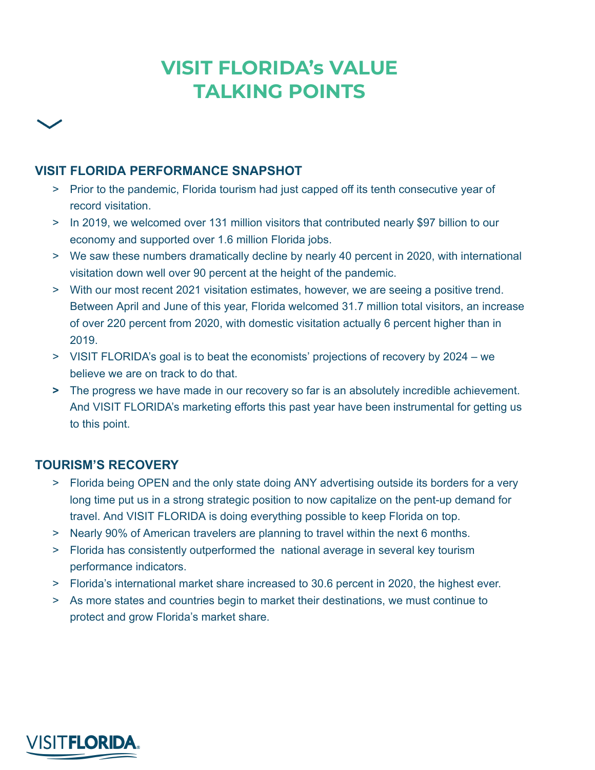# **VISIT FLORIDA's VALUE TALKING POINTS**

## **VISIT FLORIDA PERFORMANCE SNAPSHOT**

- > Prior to the pandemic, Florida tourism had just capped off its tenth consecutive year of record visitation.
- > In 2019, we welcomed over 131 million visitors that contributed nearly \$97 billion to our economy and supported over 1.6 million Florida jobs.
- > We saw these numbers dramatically decline by nearly 40 percent in 2020, with international visitation down well over 90 percent at the height of the pandemic.
- > With our most recent 2021 visitation estimates, however, we are seeing a positive trend. Between April and June of this year, Florida welcomed 31.7 million total visitors, an increase of over 220 percent from 2020, with domestic visitation actually 6 percent higher than in 2019.
- > VISIT FLORIDA's goal is to beat the economists' projections of recovery by 2024 we believe we are on track to do that.
- **>** The progress we have made in our recovery so far is an absolutely incredible achievement. And VISIT FLORIDA's marketing efforts this past year have been instrumental for getting us to this point.

### **TOURISM'S RECOVERY**

- > Florida being OPEN and the only state doing ANY advertising outside its borders for a very long time put us in a strong strategic position to now capitalize on the pent-up demand for travel. And VISIT FLORIDA is doing everything possible to keep Florida on top.
- > Nearly 90% of American travelers are planning to travel within the next 6 months.
- > Florida has consistently outperformed the national average in several key tourism performance indicators.
- > Florida's international market share increased to 30.6 percent in 2020, the highest ever.
- > As more states and countries begin to market their destinations, we must continue to protect and grow Florida's market share.